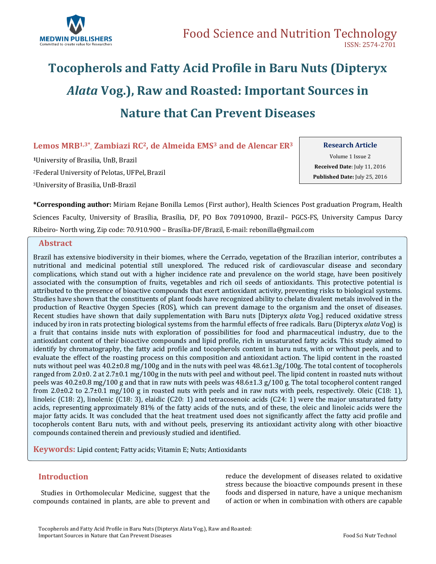

# **Tocopherols and Fatty Acid Profile in Baru Nuts (Dipteryx**  *Alata* **Vog.), Raw and Roasted: Important Sources in Nature that Can Prevent Diseases**

**Lemos MRB1,3\* , Zambiazi RC2, de Almeida EMS<sup>3</sup> and de Alencar ER<sup>3</sup>**

**<sup>1</sup>**University of Brasilia, UnB, Brazil <sup>2</sup>Federal University of Pelotas, UFPel, Brazil <sup>3</sup>University of Brasilia, UnB-Brazil

**Research Article**

Volume 1 Issue 2 **Received Date**: July 11, 2016 **Published Date:** July 25, 2016

**\*Corresponding author:** Miriam Rejane Bonilla Lemos (First author), Health Sciences Post graduation Program, Health Sciences Faculty, University of Brasília, Brasília, DF, PO Box 70910900, Brazil– PGCS-FS, University Campus Darcy Ribeiro- North wing, Zip code: 70.910.900 – Brasília-DF/Brazil, E-mail: rebonilla@gmail.com

### **. Abstract**

Brazil has extensive biodiversity in their biomes, where the Cerrado, vegetation of the Brazilian interior, contributes a nutritional and medicinal potential still unexplored. The reduced risk of cardiovascular disease and secondary complications, which stand out with a higher incidence rate and prevalence on the world stage, have been positively associated with the consumption of fruits, vegetables and rich oil seeds of antioxidants. This protective potential is attributed to the presence of bioactive compounds that exert antioxidant activity, preventing risks to biological systems. Studies have shown that the constituents of plant foods have recognized ability to chelate divalent metals involved in the production of Reactive Oxygen Species (ROS), which can prevent damage to the organism and the onset of diseases. Recent studies have shown that daily supplementation with Baru nuts [Dipteryx *alata* Vog.] reduced oxidative stress induced by iron in rats protecting biological systems from the harmful effects of free radicals. Baru (Dipteryx *alata* Vog) is a fruit that contains inside nuts with exploration of possibilities for food and pharmaceutical industry, due to the antioxidant content of their bioactive compounds and lipid profile, rich in unsaturated fatty acids. This study aimed to identify by chromatography, the fatty acid profile and tocopherols content in baru nuts, with or without peels, and to evaluate the effect of the roasting process on this composition and antioxidant action. The lipid content in the roasted nuts without peel was 40.2±0.8 mg/100g and in the nuts with peel was 48.6±1.3g/100g. The total content of tocopherols ranged from 2.0±0. 2 at 2.7±0.1 mg/100g in the nuts with peel and without peel. The lipid content in roasted nuts without peels was  $40.2\pm0.8$  mg/100 g and that in raw nuts with peels was  $48.6\pm1.3$  g/100 g. The total tocopherol content ranged from 2.0 $\pm$ 0.2 to 2.7 $\pm$ 0.1 mg/100 g in roasted nuts with peels and in raw nuts with peels, respectively. Oleic (C18: 1), linoleic (C18: 2), linolenic (C18: 3), elaidic (C20: 1) and tetracosenoic acids (C24: 1) were the major unsaturated fatty acids, representing approximately 81% of the fatty acids of the nuts, and of these, the oleic and linoleic acids were the major fatty acids. It was concluded that the heat treatment used does not significantly affect the fatty acid profile and tocopherols content Baru nuts, with and without peels, preserving its antioxidant activity along with other bioactive compounds contained therein and previously studied and identified.

**Keywords:** Lipid content; Fatty acids; Vitamin E; Nuts; Antioxidants

# **Introduction**

 Studies in Orthomolecular Medicine, suggest that the compounds contained in plants, are able to prevent and reduce the development of diseases related to oxidative stress because the bioactive compounds present in these foods and dispersed in nature, have a unique mechanism of action or when in combination with others are capable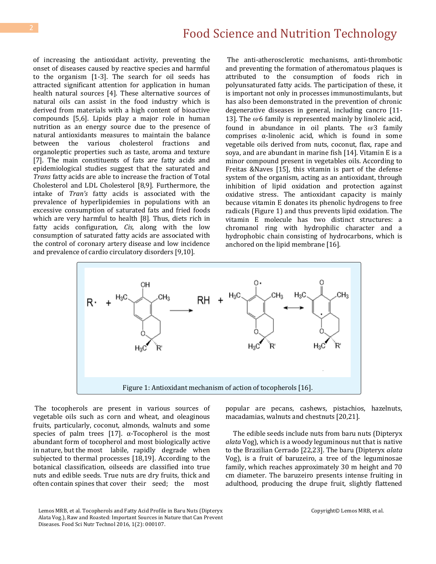of increasing the antioxidant activity, preventing the onset of diseases caused by reactive species and harmful to the organism [1-3]. The search for oil seeds has attracted significant attention for application in human health natural sources [4]. These alternative sources of natural oils can assist in the food industry which is derived from materials with a high content of bioactive compounds [5,6]. Lipids play a major role in human nutrition as an energy source due to the presence of natural antioxidants measures to maintain the balance between the various cholesterol fractions and organoleptic properties such as taste, aroma and texture [7]. The main constituents of fats are fatty acids and epidemiological studies suggest that the saturated and *Trans* fatty acids are able to increase the fraction of Total Cholesterol and LDL Cholesterol [8,9]. Furthermore, the intake of *Tran's* fatty acids is associated with the prevalence of hyperlipidemies in populations with an excessive consumption of saturated fats and fried foods which are very harmful to health [8]. Thus, diets rich in fatty acids configuration, *Cis,* along with the low consumption of saturated fatty acids are associated with the control of coronary artery disease and low incidence and prevalence of cardio circulatory disorders [9,10].

The anti-atherosclerotic mechanisms, anti-thrombotic and preventing the formation of atheromatous plaques is attributed to the consumption of foods rich in polyunsaturated fatty acids. The participation of these, it is important not only in processes immunostimulants, but has also been demonstrated in the prevention of chronic degenerative diseases in general, including cancro [11- 13]. The  $\omega$  6 family is represented mainly by linoleic acid, found in abundance in oil plants. The  $\omega$ 3 family comprises α-linolenic acid, which is found in some vegetable oils derived from nuts, coconut, flax, rape and soya, and are abundant in marine fish [14]. Vitamin E is a minor compound present in vegetables oils. According to Freitas &Naves [15], this vitamin is part of the defense system of the organism, acting as an antioxidant, through inhibition of lipid oxidation and protection against oxidative stress. The antioxidant capacity is mainly because vitamin E donates its phenolic hydrogens to free radicals (Figure 1) and thus prevents lipid oxidation. The vitamin E molecule has two distinct structures: a chromanol ring with hydrophilic character and a hydrophobic chain consisting of hydrocarbons, which is anchored on the lipid membrane [16].



The tocopherols are present in various sources of vegetable oils such as corn and wheat, and oleaginous fruits, particularly, coconut, almonds, walnuts and some species of palm trees [17].  $α$ -Tocopherol is the most abundant form of tocopherol and most biologically active in nature, but the most labile, rapidly degrade when subjected to thermal processes [18,19]. According to the botanical classification, oilseeds are classified into true nuts and edible seeds. True nuts are dry fruits, thick and often contain spines that cover their seed; the most

Lemos MRB, et al. Tocopherols and Fatty Acid Profile in Baru Nuts (Dipteryx Alata Vog.), Raw and Roasted: Important Sources in Nature that Can Prevent Diseases. Food Sci Nutr Technol 2016, 1(2): 000107.

popular are pecans, cashews, pistachios, hazelnuts, macadamias, walnuts and chestnuts [20,21].

 The edible seeds include nuts from baru nuts (Dipteryx *alata* Vog), which is a woody leguminous nut that is native to the Brazilian Cerrado [22,23]. The baru (Dipteryx *alata* Vog), is a fruit of baruzeiro, a tree of the leguminosae family, which reaches approximately 30 m height and 70 cm diameter. The baruzeiro presents intense fruiting in adulthood, producing the drupe fruit, slightly flattened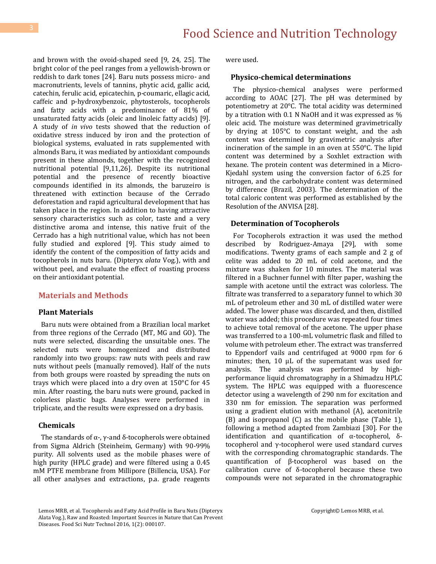and brown with the ovoid-shaped seed [9, 24, 25]. The bright color of the peel ranges from a yellowish-brown or reddish to dark tones [24]. Baru nuts possess micro- and macronutrients, levels of tannins, phytic acid, gallic acid, catechin, ferulic acid, epicatechin, p-coumaric, ellagic acid, caffeic and p-hydroxybenzoic, phytosterols, tocopherols and fatty acids with a predominance of 81% of unsaturated fatty acids (oleic and linoleic fatty acids) [9]. A study of *in vivo* tests showed that the reduction of oxidative stress induced by iron and the protection of biological systems, evaluated in rats supplemented with almonds Baru, it was mediated by antioxidant compounds present in these almonds, together with the recognized nutritional potential [9,11,26]. Despite its nutritional potential and the presence of recently bioactive compounds identified in its almonds, the baruzeiro is threatened with extinction because of the Cerrado deforestation and rapid agricultural development that has taken place in the region. In addition to having attractive sensory characteristics such as color, taste and a very distinctive aroma and intense, this native fruit of the Cerrado has a high nutritional value, which has not been fully studied and explored [9]. This study aimed to identify the content of the composition of fatty acids and tocopherols in nuts baru. (Dipteryx *alata* Vog.), with and without peel, and evaluate the effect of roasting process on their antioxidant potential.

## **Materials and Methods**

#### **Plant Materials**

 Baru nuts were obtained from a Brazilian local market from three regions of the Cerrado (MT, MG and GO). The nuts were selected, discarding the unsuitable ones. The selected nuts were homogenized and distributed randomly into two groups: raw nuts with peels and raw nuts without peels (manually removed). Half of the nuts from both groups were roasted by spreading the nuts on trays which were placed into a dry oven at 150°C for 45 min. After roasting, the baru nuts were ground, packed in colorless plastic bags. Analyses were performed in triplicate, and the results were expressed on a dry basis.

#### **Chemicals**

The standards of  $\alpha$ -,  $\gamma$ -and δ-tocopherols were obtained from Sigma Aldrich (Steinheim, Germany) with 90-99% purity. All solvents used as the mobile phases were of high purity (HPLC grade) and were filtered using a 0.45 mM PTFE membrane from Millipore (Billencia, USA). For all other analyses and extractions, p.a. grade reagents were used.

#### **Physico-chemical determinations**

 The physico-chemical analyses were performed according to AOAC [27]. The pH was determined by potentiometry at 20°C. The total acidity was determined by a titration with 0.1 N NaOH and it was expressed as % oleic acid. The moisture was determined gravimetrically by drying at 105°C to constant weight, and the ash content was determined by gravimetric analysis after incineration of the sample in an oven at 550°C. The lipid content was determined by a Soxhlet extraction with hexane. The protein content was determined in a Micro-Kjedahl system using the conversion factor of 6.25 for nitrogen, and the carbohydrate content was determined by difference (Brazil, 2003). The determination of the total caloric content was performed as established by the Resolution of the ANVISA [28].

#### **Determination of Tocopherols**

 For Tocopherols extraction it was used the method described by Rodriguez-Amaya [29], with some modifications. Twenty grams of each sample and 2 g of celite was added to 20 mL of cold acetone, and the mixture was shaken for 10 minutes. The material was filtered in a Buchner funnel with filter paper, washing the sample with acetone until the extract was colorless. The filtrate was transferred to a separatory funnel to which 30 mL of petroleum ether and 30 mL of distilled water were added. The lower phase was discarded, and then, distilled water was added; this procedure was repeated four times to achieve total removal of the acetone. The upper phase was transferred to a 100-mL volumetric flask and filled to volume with petroleum ether. The extract was transferred to Eppendorf vails and centrifuged at 9000 rpm for 6 minutes; then, 10 μL of the supernatant was used for analysis. The analysis was performed by highperformance liquid chromatography in a Shimadzu HPLC system. The HPLC was equipped with a fluorescence detector using a wavelength of 290 nm for excitation and 330 nm for emission. The separation was performed using a gradient elution with methanol (A), acetonitrile (B) and isopropanol (C) as the mobile phase (Table 1), following a method adapted from Zambiazi [30]. For the identification and quantification of α-tocopherol, δtocopherol and γ-tocopherol were used standard curves with the corresponding chromatographic standards. The quantification of β-tocopherol was based on the calibration curve of δ-tocopherol because these two compounds were not separated in the chromatographic

Lemos MRB, et al. Tocopherols and Fatty Acid Profile in Baru Nuts (Dipteryx Alata Vog.), Raw and Roasted: Important Sources in Nature that Can Prevent Diseases. Food Sci Nutr Technol 2016, 1(2): 000107.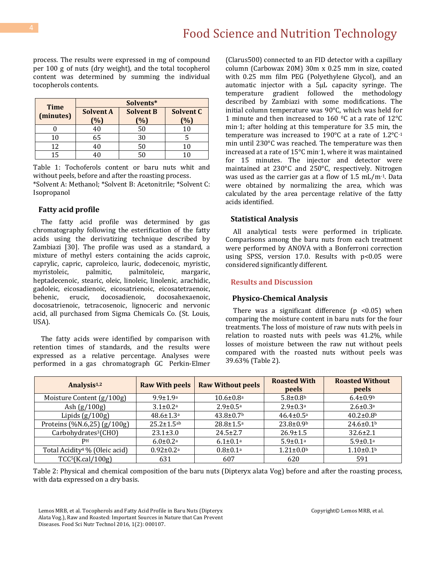process. The results were expressed in mg of compound per 100 g of nuts (dry weight), and the total tocopherol content was determined by summing the individual tocopherols contents.

| <b>Time</b> | Solvents*                  |                                    |                  |  |
|-------------|----------------------------|------------------------------------|------------------|--|
| (minutes)   | <b>Solvent A</b><br>$(\%)$ | <b>Solvent B</b><br>$\frac{10}{6}$ | Solvent C<br>(%) |  |
|             | 40                         | 50                                 | 10               |  |
| 10          | 65                         | 30                                 |                  |  |
| 12          | 40                         | 50                                 | 10               |  |
| 15.         |                            | 50                                 |                  |  |

Table 1: Tochoferols content or baru nuts whit and without peels, before and after the roasting process. \*Solvent A: Methanol; \*Solvent B: Acetonitrile; \*Solvent C: Isopropanol

#### **Fatty acid profile**

 The fatty acid profile was determined by gas chromatography following the esterification of the fatty acids using the derivatizing technique described by Zambiazi [30]. The profile was used as a standard, a mixture of methyl esters containing the acids caproic, caprylic, capric, caproleico, lauric, dodecenoic, myristic, myristoleic, palmitic, palmitoleic, margaric, heptadecenoic, stearic, oleic, linoleic, linolenic, arachidic, gadoleic, eicosadienoic, eicosatrienoic, eicosatetraenoic, behenic, erucic, docosadienoic, docosahexaenoic, docosatrienoic, tetracosenoic, lignoceric and nervonic acid, all purchased from Sigma Chemicals Co. (St. Louis, USA).

 The fatty acids were identified by comparison with retention times of standards, and the results were expressed as a relative percentage. Analyses were performed in a gas chromatograph GC Perkin-Elmer

(Clarus500) connected to an FID detector with a capillary column (Carbowax 20M) 30m x 0.25 mm in size, coated with 0.25 mm film PEG (Polyethylene Glycol), and an automatic injector with a 5μL capacity syringe. The temperature gradient followed the methodology described by Zambiazi with some modifications. The initial column temperature was 90°C, which was held for 1 minute and then increased to 160 0C at a rate of 12°C min-1; after holding at this temperature for 3.5 min, the temperature was increased to 190°C at a rate of 1.2°C-1 min until 230°C was reached. The temperature was then increased at a rate of 15°C min-1, where it was maintained for 15 minutes. The injector and detector were maintained at 230°C and 250°C, respectively. Nitrogen was used as the carrier gas at a flow of  $1.5 \text{ mL/m}$ <sup>-1</sup>. Data were obtained by normalizing the area, which was calculated by the area percentage relative of the fatty acids identified.

#### **Statistical Analysis**

 All analytical tests were performed in triplicate. Comparisons among the baru nuts from each treatment were performed by ANOVA with a Bonferroni correction using SPSS, version 17.0. Results with p<0.05 were considered significantly different.

#### **Results and Discussion**

#### **Physico-Chemical Analysis**

There was a significant difference  $(p \le 0.05)$  when comparing the moisture content in baru nuts for the four treatments. The loss of moisture of raw nuts with peels in relation to roasted nuts with peels was 41.2%, while losses of moisture between the raw nut without peels compared with the roasted nuts without peels was 39.63% (Table 2).

| Analysis <sup>1,2</sup>                   | <b>Raw With peels</b>       | <b>Raw Without peels</b>    | <b>Roasted With</b><br>peels | <b>Roasted Without</b><br>peels |
|-------------------------------------------|-----------------------------|-----------------------------|------------------------------|---------------------------------|
| Moisture Content (g/100g)                 | $9.9 \pm 1.9$ <sup>a</sup>  | $10.6 \pm 0.8$ <sup>a</sup> | $5.8 \pm 0.8$                | $6.4 \pm 0.9$ <sup>b</sup>      |
| Ash $(g/100g)$                            | $3.1 \pm 0.2^a$             | $2.9 \pm 0.5^{\text{a}}$    | $2.9 \pm 0.3$ <sup>a</sup>   | $2.6 \pm 0.3$ <sup>a</sup>      |
| Lipids $(g/100g)$                         | $48.6 \pm 1.3$ <sup>a</sup> | $43.8 \pm 0.7$ <sup>b</sup> | $46.4 \pm 0.5^{\text{a}}$    | $40.2 \pm 0.8$ <sup>b</sup>     |
| Proteins (%N.6,25) $(g/100g)$             | $25.2 \pm 1.5$ ab           | $28.8 \pm 1.5^{\rm a}$      | $23.8 \pm 0.9$ <sup>b</sup>  | $24.6 \pm 0.1$                  |
| Carbohydrates <sup>3</sup> (CHO)          | $23.1 \pm 3.0$              | $24.5 \pm 2.7$              | $26.9 \pm 1.5$               | $32.6 \pm 2.1$                  |
| PН                                        | $6.0 \pm 0.2$ <sup>a</sup>  | $6.1 \pm 0.1^a$             | $5.9 \pm 0.1$ <sup>a</sup>   | $5.9 \pm 0.1$ <sup>a</sup>      |
| Total Acidity <sup>4</sup> % (Oleic acid) | $0.92 \pm 0.2a$             | $0.8 + 0.1$ <sup>a</sup>    | $1.21 \pm 0.0$ <sup>b</sup>  | $1.10 \pm 0.1$ <sup>b</sup>     |
| TCC <sup>5</sup> (K.cal/100g)             | 631                         | 607                         | 620                          | 591                             |

Table 2: Physical and chemical composition of the baru nuts (Dipteryx alata Vog) before and after the roasting process, with data expressed on a dry basis.

Lemos MRB, et al. Tocopherols and Fatty Acid Profile in Baru Nuts (Dipteryx Alata Vog.), Raw and Roasted: Important Sources in Nature that Can Prevent Diseases. Food Sci Nutr Technol 2016, 1(2): 000107.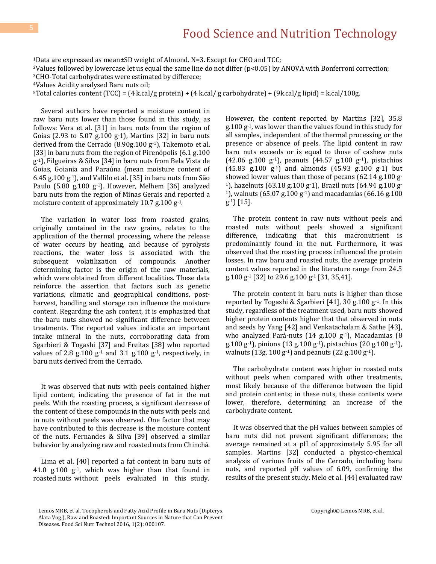<sup>1</sup>Data are expressed as mean±SD weight of Almond. N=3. Except for CHO and TCC;

<sup>2</sup>Values followed by lowercase let us equal the same line do not differ (p<0.05) by ANOVA with Bonferroni correction;

<sup>3</sup>CHO-Total carbohydrates were estimated by differece;

<sup>4</sup>Values Acidity analysed Baru nuts oil;

<sup>5</sup>Total calories content (TCC) = (4 k.cal/g protein) + (4 k.cal/g carbohydrate) + (9k.cal/g lipid) = k.cal/100g.

 Several authors have reported a moisture content in raw baru nuts lower than those found in this study, as follows: Vera et al. [31] in baru nuts from the region of Goias (2.93 to  $5.07$  g.100 g $-1$ ), Martins [32] in baru nuts derived from the Cerrado (8.90g.100 g-1), Takemoto et al. [33] in baru nuts from the region of Pirenópolis (6.1 g.100) g-1), Filgueiras & Silva [34] in baru nuts from Bela Vista de Goias, Goiania and Paraúna (mean moisture content of 6.45 g.100  $g^{-1}$ ), and Vallilo et al. [35] in baru nuts from São Paulo  $(5.80 \text{ g}.100 \text{ g}^{-1})$ . However, Melhem [36] analyzed baru nuts from the region of Minas Gerais and reported a moisture content of approximately 10.7 g.100 g-1.

 The variation in water loss from roasted grains, originally contained in the raw grains, relates to the application of the thermal processing, where the release of water occurs by heating, and because of pyrolysis reactions, the water loss is associated with the subsequent volatilization of compounds. Another determining factor is the origin of the raw materials, which were obtained from different localities. These data reinforce the assertion that factors such as genetic variations, climatic and geographical conditions, postharvest, handling and storage can influence the moisture content. Regarding the ash content, it is emphasized that the baru nuts showed no significant difference between treatments. The reported values indicate an important intake mineral in the nuts, corroborating data from Sgarbieri & Togashi [37] and Freitas [38] who reported values of 2.8 g.100  $g^{-1}$  and 3.1 g.100  $g^{-1}$ , respectively, in baru nuts derived from the Cerrado.

 It was observed that nuts with peels contained higher lipid content, indicating the presence of fat in the nut peels. With the roasting process, a significant decrease of the content of these compounds in the nuts with peels and in nuts without peels was observed. One factor that may have contributed to this decrease is the moisture content of the nuts. Fernandes & Silva [39] observed a similar behavior by analyzing raw and roasted nuts from Chinchá.

 Lima et al. [40] reported a fat content in baru nuts of 41.0 g.100  $g^{-1}$ , which was higher than that found in roasted nuts without peels evaluated in this study.

However, the content reported by Martins [32], 35.8 g.100 g-1, was lower than the values found in this study for all samples, independent of the thermal processing or the presence or absence of peels. The lipid content in raw baru nuts exceeds or is equal to those of cashew nuts (42.06 g.100 g<sup>-1</sup>), peanuts (44.57 g.100 g<sup>-1</sup>), pistachios  $(45.83 \text{ g}.100 \text{ g}^{-1})$  and almonds  $(45.93 \text{ g}.100 \text{ g}^{-1})$  but showed lower values than those of pecans (62.14 g.100 g-1), hazelnuts (63.18 g.100 g-1), Brazil nuts (64.94 g.100 g-<sup>1</sup>), walnuts (65.07 g.100 g<sup>-1</sup>) and macadamias (66.16 g.100 g-1) [15].

 The protein content in raw nuts without peels and roasted nuts without peels showed a significant difference, indicating that this macronutrient is predominantly found in the nut. Furthermore, it was observed that the roasting process influenced the protein losses. In raw baru and roasted nuts, the average protein content values reported in the literature range from 24.5 g.100 g-1 [32] to 29.6 g.100 g-1 [31, 35,41].

 The protein content in baru nuts is higher than those reported by Togashi & Sgarbieri [41], 30 g.100 g-1. In this study, regardless of the treatment used, baru nuts showed higher protein contents higher that that observed in nuts and seeds by Yang [42] and Venkatachalam & Sathe [43], who analyzed Pará-nuts (14 g.100 g<sup>-1</sup>), Macadamias (8 g.100 g<sup>-1</sup>), pinions (13 g.100 g<sup>-1</sup>), pistachios (20 g.100 g<sup>-1</sup>), walnuts (13g. 100  $g^{-1}$ ) and peanuts (22 g. 100  $g^{-1}$ ).

 The carbohydrate content was higher in roasted nuts without peels when compared with other treatments, most likely because of the difference between the lipid and protein contents; in these nuts, these contents were lower, therefore, determining an increase of the carbohydrate content.

 It was observed that the pH values between samples of baru nuts did not present significant differences; the average remained at a pH of approximately 5.95 for all samples. Martins [32] conducted a physico-chemical analysis of various fruits of the Cerrado, including baru nuts, and reported pH values of 6.09, confirming the results of the present study. Melo et al. [44] evaluated raw

Lemos MRB, et al. Tocopherols and Fatty Acid Profile in Baru Nuts (Dipteryx Alata Vog.), Raw and Roasted: Important Sources in Nature that Can Prevent Diseases. Food Sci Nutr Technol 2016, 1(2): 000107.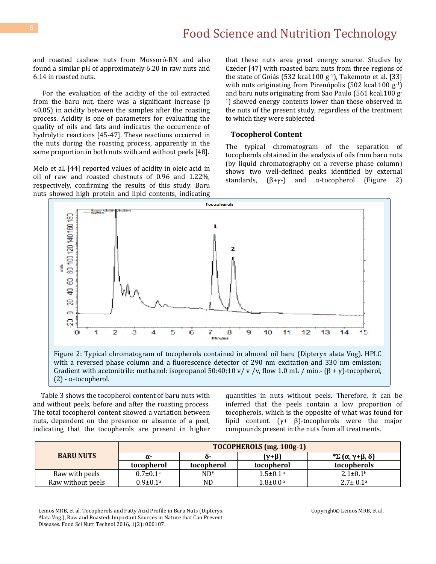and roasted cashew nuts from Mossoró-RN and also found a similar pH of approximately 6.20 in raw nuts and 6.14 in roasted nuts.

 For the evaluation of the acidity of the oil extracted from the baru nut, there was a significant increase (p <0.05) in acidity between the samples after the roasting process. Acidity is one of parameters for evaluating the quality of oils and fats and indicates the occurrence of hydrolytic reactions [45-47]. These reactions occurred in the nuts during the roasting process, apparently in the same proportion in both nuts with and without peels [48].

Melo et al. [44] reported values of acidity in oleic acid in oil of raw and roasted chestnuts of 0.96 and 1.22%, respectively, confirming the results of this study. Baru nuts showed high protein and lipid contents, indicating that these nuts area great energy source. Studies by Czeder [47] with roasted baru nuts from three regions of the state of Goiás (532 kcal.100  $g^{-1}$ ), Takemoto et al. [33] with nuts originating from Pirenópolis (502 kcal.100 g-1) and baru nuts originating from Sao Paulo (561 kcal.100 g-<sup>1</sup>) showed energy contents lower than those observed in the nuts of the present study, regardless of the treatment to which they were subjected.

#### **Tocopherol Content**

The typical chromatogram of the separation of tocopherols obtained in the analysis of oils from baru nuts (by liquid chromatography on a reverse phase column) shows two well-defined peaks identified by external standards,  $(\beta + \gamma -)$  and α-tocopherol (Figure 2)



 Table 3 shows the tocopherol content of baru nuts with and without peels, before and after the roasting process. The total tocopherol content showed a variation between nuts, dependent on the presence or absence of a peel, indicating that the tocopherols are present in higher quantities in nuts without peels. Therefore, it can be inferred that the peels contain a low proportion of tocopherols, which is the opposite of what was found for lipid content. (γ+ β)-tocopherols were the major compounds present in the nuts from all treatments.

|                   | <b>TOCOPHEROLS</b> (mg. 100g-1) |            |                            |                            |
|-------------------|---------------------------------|------------|----------------------------|----------------------------|
| <b>BARU NUTS</b>  | $\alpha$ -                      | ი-         | $(\gamma + \beta)$         | <sup>*</sup> Σ (α, γ+β, δ) |
|                   | tocopherol                      | tocopherol | tocopherol                 | tocopherols                |
| Raw with peels    | $0.7 \pm 0.1$ <sup>a</sup>      | $ND^*$     | $1.5 \pm 0.1$ <sup>a</sup> | $2.1 \pm 0.1$              |
| Raw without peels | $0.9 \pm 0.1$ <sup>a</sup>      | ND.        | $1.8 \pm 0.0$ <sup>a</sup> | $2.7 \pm 0.1^{\circ}$      |

Lemos MRB, et al. Tocopherols and Fatty Acid Profile in Baru Nuts (Dipteryx Alata Vog.), Raw and Roasted: Important Sources in Nature that Can Prevent Diseases. Food Sci Nutr Technol 2016, 1(2): 000107.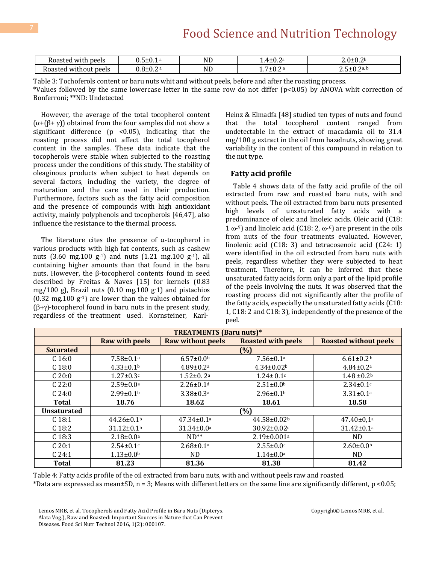# Food Science and Nutrition Technology

| $\sim$<br>Roastec<br>: peels<br>with        |              | <b>ND</b> | $\sqrt{ }$<br>1.4±0.Z | ባ 2 b<br>∠.∪±∪.∠                |
|---------------------------------------------|--------------|-----------|-----------------------|---------------------------------|
| : peels<br>Roastec<br>W11<br>$\ldots$ chout | 0. U – U . 4 | ND        | ′±0.2<br>.            | $\Omega$<br>7 d. L<br>.<br>∸v.∠ |

Table 3: Tochoferols content or baru nuts whit and without peels, before and after the roasting process. \*Values followed by the same lowercase letter in the same row do not differ (p<0.05) by ANOVA whit correction of Bonferroni; \*\*ND: Undetected

 However, the average of the total tocopherol content  $(\alpha+(\beta+\gamma))$  obtained from the four samples did not show a significant difference ( $p$  <0.05), indicating that the roasting process did not affect the total tocopherol content in the samples. These data indicate that the tocopherols were stable when subjected to the roasting process under the conditions of this study. The stability of oleaginous products when subject to heat depends on several factors, including the variety, the degree of maturation and the care used in their production. Furthermore, factors such as the fatty acid composition and the presence of compounds with high antioxidant activity, mainly polyphenols and tocopherols [46,47], also influence the resistance to the thermal process.

The literature cites the presence of  $\alpha$ -tocopherol in various products with high fat contents, such as cashew nuts (3.60 mg.100  $g^{-1}$ ) and nuts (1.21 mg.100  $g^{-1}$ ), all containing higher amounts than that found in the baru nuts. However, the β-tocopherol contents found in seed described by Freitas & Naves [15] for kernels (0.83 mg/100 g), Brazil nuts (0.10 mg.100 g-1) and pistachios  $(0.32 \text{ mg}.100 \text{ g}^{-1})$  are lower than the values obtained for  $(\beta+\gamma)$ -tocopherol found in baru nuts in the present study, regardless of the treatment used. Kornsteiner, KarlHeinz & Elmadfa [48] studied ten types of nuts and found that the total tocopherol content ranged from undetectable in the extract of macadamia oil to 31.4 mg/100 g extract in the oil from hazelnuts, showing great variability in the content of this compound in relation to the nut type.

#### **Fatty acid profile**

 Table 4 shows data of the fatty acid profile of the oil extracted from raw and roasted baru nuts, with and without peels. The oil extracted from baru nuts presented high levels of unsaturated fatty acids with a predominance of oleic and linoleic acids. Oleic acid (C18: 1  $\omega$ -9) and linoleic acid (C18: 2,  $\omega$ -6) are present in the oils from nuts of the four treatments evaluated. However, linolenic acid (C18: 3) and tetracosenoic acid (C24: 1) were identified in the oil extracted from baru nuts with peels, regardless whether they were subjected to heat treatment. Therefore, it can be inferred that these unsaturated fatty acids form only a part of the lipid profile of the peels involving the nuts. It was observed that the roasting process did not significantly alter the profile of the fatty acids, especially the unsaturated fatty acids (C18: 1, C18: 2 and C18: 3), independently of the presence of the peel.

| <b>TREATMENTS</b> (Baru nuts)* |                              |                              |                               |                              |  |
|--------------------------------|------------------------------|------------------------------|-------------------------------|------------------------------|--|
|                                | <b>Raw with peels</b>        | <b>Raw without peels</b>     | <b>Roasted with peels</b>     | <b>Roasted without peels</b> |  |
| <b>Saturated</b>               | (%)                          |                              |                               |                              |  |
| C <sub>16:0</sub>              | $7.58 \pm 0.1a$              | $6.57 \pm 0.0$               | $7.56 \pm 0.1a$               | $6.61 \pm 0.2$               |  |
| C <sub>18:0</sub>              | $4.33 \pm 0.1$ <sup>b</sup>  | $4.89 \pm 0.2$ <sup>a</sup>  | $4.34 \pm 0.02$ <sup>b</sup>  | $4.84 \pm 0.2$ <sup>a</sup>  |  |
| C20:0                          | $1.27 \pm 0.3$ c             | $1.52 \pm 0.2$ <sup>a</sup>  | $1.24 \pm 0.1$ c              | $1.48 \pm 0.2$               |  |
| C <sub>22:0</sub>              | $2.59 \pm 0.0$ a             | $2.26 \pm 0.1$ <sup>d</sup>  | $2.51 \pm 0.0$                | $2.34 \pm 0.1$ c             |  |
| C <sub>24:0</sub>              | $2.99 \pm 0.1$ <sup>b</sup>  | $3.38 \pm 0.3$ <sup>a</sup>  | $2.96 \pm 0.1$ <sup>b</sup>   | $3.31 \pm 0.1$ <sup>a</sup>  |  |
| Total                          | 18.76                        | 18.62                        | 18.61                         | 18.58                        |  |
| <b>Unsaturated</b>             |                              | (%)                          |                               |                              |  |
| C <sub>18:1</sub>              | $44.26 \pm 0.1$ <sup>b</sup> | $47.34 \pm 0.1$ <sup>a</sup> | 44.58±0.02b                   | $47.40 \pm 0.1$ <sup>a</sup> |  |
| C <sub>18:2</sub>              | $31.12 \pm 0.1$ <sup>b</sup> | $31.34 \pm 0.0^{\circ}$      | $30.92 \pm 0.02$ c            | $31.42 \pm 0.1a$             |  |
| C <sub>18:3</sub>              | $2.18 \pm 0.0^a$             | $ND**$                       | $2.19 \pm 0.001$ <sup>a</sup> | ND.                          |  |
| C 20:1                         | $2.54 \pm 0.1$ c             | $2.68 \pm 0.1$ <sup>a</sup>  | $2.55 \pm 0.0$ c              | $2.60 \pm 0.0^b$             |  |
| C <sub>24:1</sub>              | $1.13 \pm 0.0$ <sup>b</sup>  | ND.                          | $1.14 \pm 0.0^{\text{a}}$     | ND.                          |  |
| Total                          | 81.23                        | 81.36                        | 81.38                         | 81.42                        |  |

Table 4: Fatty acids profile of the oil extracted from baru nuts, with and without peels raw and roasted. \*Data are expressed as mean $\pm$ SD, n = 3; Means with different letters on the same line are significantly different, p <0.05;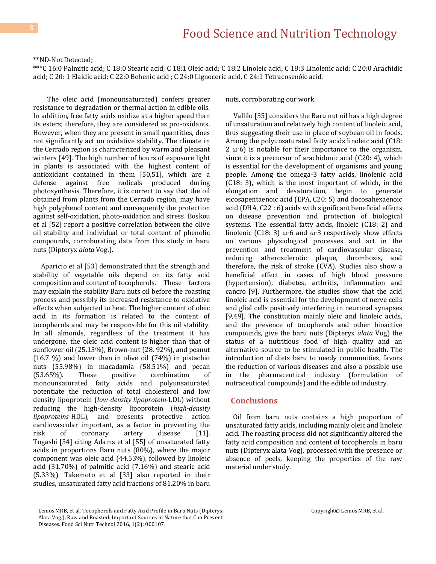\*\*ND-Not Detected;

\*\*\*C 16:0 Palmitic acid; C 18:0 Stearic acid; C 18:1 Oleic acid; C 18:2 Linoleic acid; C 18:3 Linolenic acid; C 20:0 Arachidic acid; C 20: 1 Elaidic acid; C 22:0 Behenic acid ; C 24:0 Lignoceric acid, C 24:1 Tetracosenóic acid.

 The oleic acid (monounsaturated) confers greater resistance to degradation or thermal action in edible oils. In addition, free fatty acids oxidize at a higher speed than its esters; therefore, they are considered as pro-oxidants. However, when they are present in small quantities, does not significantly act on oxidative stability. The climate in the Cerrado region is characterized by warm and pleasant winters [49]. The high number of hours of exposure light in plants is associated with the highest content of antioxidant contained in them [50,51], which are a defense against free radicals produced during photosynthesis. Therefore, it is correct to say that the oil obtained from plants from the Cerrado region, may have high polyphenol content and consequently the protection against self-oxidation, photo-oxidation and stress. Boskou et al [52] report a positive correlation between the olive oil stability and individual or total content of phenolic compounds, corroborating data from this study in baru nuts (Dipteryx *alata* Vog.).

 Aparicio et al [53] demonstrated that the strength and stability of vegetable oils depend on its fatty acid composition and content of tocopherols. These factors may explain the stability Baru nuts oil before the roasting process and possibly its increased resistance to oxidative effects when subjected to heat. The higher content of oleic acid in its formation is related to the content of tocopherols and may be responsible for this oil stability. In all almonds, regardless of the treatment it has undergone, the oleic acid content is higher than that of sunflower oil (25.15%), Brown-nut (28. 92%), and peanut (16.7 %) and lower than in olive oil (74%) in pistachio nuts (55.98%) in macadamia (58.51%) and pecan (53.65%). These positive combination of monounsaturated fatty acids and polyunsaturated potentiate the reduction of total cholesterol and low density lipoprotein (*low-density lipoprotein*-LDL) without reducing the high-density lipoprotein (*high-density lipoproteins*-HDL), and presents protective action cardiovascular important, as a factor in preventing the risk of coronary artery disease [11]. Togashi [54] citing Adams et al [55] of unsaturated fatty acids in proportions Baru nuts (80%), where the major component was oleic acid (44.53%), followed by linoleic acid (31.70%) of palmitic acid (7.16%) and stearic acid (5.33%). Takemoto et al [33] also reported in their studies, unsaturated fatty acid fractions of 81.20% in baru

nuts, corroborating our work.

 Vallilo [35] considers the Baru nut oil has a high degree of unsaturation and relatively high content of linoleic acid, thus suggesting their use in place of soybean oil in foods. Among the polyunsaturated fatty acids linoleic acid (C18: 2  $\omega$ -6) is notable for their importance to the organism, since it is a precursor of arachidonic acid (C20: 4), which is essential for the development of organisms and young people. Among the omega-3 fatty acids, linolenic acid (C18: 3), which is the most important of which, in the elongation and desaturation, begin to generate eicosapentaenoic acid (EPA, C20: 5) and docosahexaenoic acid (DHA, C22 : 6) acids with significant beneficial effects on disease prevention and protection of biological systems. The essential fatty acids, linoleic (C18: 2) and linolenic (C18: 3)  $\omega$ -6 and  $\omega$ -3 respectively show effects on various physiological processes and act in the prevention and treatment of cardiovascular disease, reducing atherosclerotic plaque, thrombosis, and therefore, the risk of stroke (CVA). Studies also show a beneficial effect in cases of high blood pressure (hypertension), diabetes, arthritis, inflammation and cancro [9]. Furthermore, the studies show that the acid linoleic acid is essential for the development of nerve cells and glial cells positively interfering in neuronal synapses [9,49]. The constitution mainly oleic and linoleic acids, and the presence of tocopherols and other bioactive compounds, give the baru nuts (Dipteryx *alata* Vog) the status of a nutritious food of high quality and an alternative source to be stimulated in public health. The introduction of diets baru to needy communities, favors the reduction of various diseases and also a possible use in the pharmaceutical industry (formulation of nutraceutical compounds) and the edible oil industry.

## **Conclusions**

 Oil from baru nuts contains a high proportion of unsaturated fatty acids, including mainly oleic and linoleic acid. The roasting process did not significantly altered the fatty acid composition and content of tocopherols in baru nuts (Dipteryx alata Vog), processed with the presence or absence of peels, keeping the properties of the raw material under study.

Lemos MRB, et al. Tocopherols and Fatty Acid Profile in Baru Nuts (Dipteryx Alata Vog.), Raw and Roasted: Important Sources in Nature that Can Prevent Diseases. Food Sci Nutr Technol 2016, 1(2): 000107.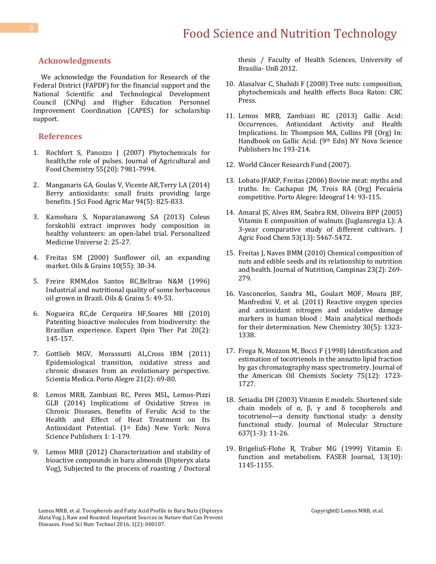# **Acknowledgments**

 We acknowledge the Foundation for Research of the Federal District (FAPDF) for the financial support and the National Scientific and Technological Development Council (CNPq) and Higher Education Personnel Improvement Coordination (CAPES) for scholarship support.

## **References**

- 1. Rochfort S, Panozzo [J \(2007\) Phytochemicals for](http://www.ncbi.nlm.nih.gov/pubmed/17784726)  [health,the role of pulses. Journal of Agricultural and](http://www.ncbi.nlm.nih.gov/pubmed/17784726)  [Food Chemistry 55\(20\): 7981-7994.](http://www.ncbi.nlm.nih.gov/pubmed/17784726)
- 2. [Manganaris GA, Goulas V, Vicente AR,Terry LA \(2014\)](http://www.ncbi.nlm.nih.gov/pubmed/24122646)  [Berry antioxidants: small](http://www.ncbi.nlm.nih.gov/pubmed/24122646) fruits providing large [benefits. J Sci Food Agric Mar 94\(5\): 825-833.](http://www.ncbi.nlm.nih.gov/pubmed/24122646)
- 3. [Kamohara S, Noparatanawong SA \(2013\) Coleus](http://www.sciencedirect.com/science/article/pii/S2186495013000059)  forskohlii [extract improves body composition in](http://www.sciencedirect.com/science/article/pii/S2186495013000059)  [healthy volunteers: an open-label trial. Personalized](http://www.sciencedirect.com/science/article/pii/S2186495013000059)  [Medicine Universe](http://www.sciencedirect.com/science/article/pii/S2186495013000059) 2: 25-27.
- 4. Freitas SM (2000) Sunflower oil, an expanding market. Oils & Grains 10(55): 30-34.
- 5. Freire RMM,dos Santos RC,Beltrao N&M (1996) Industrial and nutritional quality of some herbaceous oil grown in Brazil. Oils & Grains 5: 49-53.
- 6. [Nogueira RC,de Cerqueira HF,Soares MB \(2010\)](http://www.ncbi.nlm.nih.gov/pubmed/20099999)  [Patenting bioactive molecules from biodiversity: the](http://www.ncbi.nlm.nih.gov/pubmed/20099999)  [Brazilian experience. Expert Opin Ther Pat 20\(2\):](http://www.ncbi.nlm.nih.gov/pubmed/20099999)  [145-157.](http://www.ncbi.nlm.nih.gov/pubmed/20099999)
- 7. [Gottlieb MGV, Morassutti AL,Cross IBM \(2011\)](http://revistaseletronicas.pucrs.br/scientiamedica/ojs/index.php/scientiamedica/article/view/8712)  [Epidemiological transition, oxidative stress and](http://revistaseletronicas.pucrs.br/scientiamedica/ojs/index.php/scientiamedica/article/view/8712)  [chronic diseases from an evolutionary perspective.](http://revistaseletronicas.pucrs.br/scientiamedica/ojs/index.php/scientiamedica/article/view/8712) [Scientia Medica. Porto Alegre 21\(2\): 69-80.](http://revistaseletronicas.pucrs.br/scientiamedica/ojs/index.php/scientiamedica/article/view/8712)
- 8. [Lemos MRB,](http://lattes.cnpq.br/1554032684625463) Zambiazi RC, Peres MSL, Lemos-Pizzi GLB (2014) Implications of Oxidative Stress in Chronic Diseases, Benefits of Ferulic Acid to the Health and Effect of Heat Treatment on Its Antioxidant Potential. (1st Edn) New York: Nova Science Publishers 1: 1-179.
- 9. Lemos MRB (2012) Characterization and stability of bioactive compounds in baru almonds (Dipteryx alata Vog), Subjected to the process of roasting / Doctoral

thesis / Faculty of Health Sciences, University of Brasilia- UnB 2012.

- 10. [Alasalvar C, Shahidi F \(2008\) Tree nuts: composition,](https://www.crcpress.com/Tree-Nuts-Composition-Phytochemicals-and-Health-Effects/Alasalvar-Shahidi/p/book/9780849337352)  [phytochemicals and health effects Boca Raton: CRC](https://www.crcpress.com/Tree-Nuts-Composition-Phytochemicals-and-Health-Effects/Alasalvar-Shahidi/p/book/9780849337352)  [Press.](https://www.crcpress.com/Tree-Nuts-Composition-Phytochemicals-and-Health-Effects/Alasalvar-Shahidi/p/book/9780849337352)
- 11. [Lemos MRB,](http://lattes.cnpq.br/1554032684625463) Zambiazi RC (2013) Gallic Acid: Occurrences, Antioxidant Activity and Health Implications. In: Thompson MA, Collins PB (Org) In: Handbook on Gallic Acid. (9th Edn) NY Nova Science Publishers Inc 193-214.
- 12. World Câncer Research Fund (2007).
- 13. Lobato JFAKP, Freitas (2006) Bovine meat: myths and truths. In: Cachapuz JM, Trois RA (Org) Pecuária competitive. Porto Alegre: Ideograf 14: 93-115.
- 14. [Amaral JS, Alves RM, Seabra RM, Oliveira BPP \(2005\)](http://www.ncbi.nlm.nih.gov/pubmed/15969535)  [Vitamin E composition of walnuts \(Juglansregia](http://www.ncbi.nlm.nih.gov/pubmed/15969535) L): A [3-year comparative study of different cultivars. J](http://www.ncbi.nlm.nih.gov/pubmed/15969535)  Agric Food Chem [53\(13\): 5467-5472.](http://www.ncbi.nlm.nih.gov/pubmed/15969535)
- 15. [Freitas J, Naves BMM \(2010\) Chemical composition of](http://www.scielo.br/scielo.php?pid=S1415-52732010000200010&script=sci_abstract)  [nuts and edible seeds and its relationship to nutrition](http://www.scielo.br/scielo.php?pid=S1415-52732010000200010&script=sci_abstract)  [and health. Journal of Nutrition, Campinas 23\(2\): 269-](http://www.scielo.br/scielo.php?pid=S1415-52732010000200010&script=sci_abstract) [279.](http://www.scielo.br/scielo.php?pid=S1415-52732010000200010&script=sci_abstract)
- 16. [Vasconcelos, Sandra ML, Goulart MOF, Moura JBF,](http://www.scielo.br/scielo.php?pid=S0100-40422007000500046&script=sci_abstract)  [Manfredini V, et al. \(2011\) Reactive oxygen species](http://www.scielo.br/scielo.php?pid=S0100-40422007000500046&script=sci_abstract)  [and antioxidant nitrogen and](http://www.scielo.br/scielo.php?pid=S0100-40422007000500046&script=sci_abstract) oxidative damage [markers in human blood : Main analytical methods](http://www.scielo.br/scielo.php?pid=S0100-40422007000500046&script=sci_abstract)  [for their determination. New Chemistry 30\(5\): 1323-](http://www.scielo.br/scielo.php?pid=S0100-40422007000500046&script=sci_abstract) [1338.](http://www.scielo.br/scielo.php?pid=S0100-40422007000500046&script=sci_abstract)
- 17. [Frega N, Mozzon M, Bocci F \(1998\) Identification and](http://link.springer.com/article/10.1007/s11746-998-0323-1#page-1)  [estimation of tocotrienols in the annatto lipid fraction](http://link.springer.com/article/10.1007/s11746-998-0323-1#page-1)  [by gas chromatography mass spectrometry. Journal of](http://link.springer.com/article/10.1007/s11746-998-0323-1#page-1)  [the American Oil Chemists Society](http://link.springer.com/article/10.1007/s11746-998-0323-1#page-1) 75(12): 1723- [1727.](http://link.springer.com/article/10.1007/s11746-998-0323-1#page-1)
- 18. [Setiadia DH \(2003\) Vitamin E models. Shortened side](http://www.sciencedirect.com/science/article/pii/S0166128002005973)  chain models of  $\alpha$ ,  $\beta$ ,  $\gamma$  and  $\delta$  tocopherols and tocotrienol—[a density functional study: a density](http://www.sciencedirect.com/science/article/pii/S0166128002005973)  [functional study. Journal of Molecular Structure](http://www.sciencedirect.com/science/article/pii/S0166128002005973) [637\(1-3\): 11-26.](http://www.sciencedirect.com/science/article/pii/S0166128002005973)
- 19. [BrigeliuS-Flohe R, Traber MG \(1999\) Vitamin E:](http://www.fasebj.org/content/13/10/1145.abstract)  [function and metabolism.](http://www.fasebj.org/content/13/10/1145.abstract) FASEB Journal, 13(10): [1145-1155.](http://www.fasebj.org/content/13/10/1145.abstract)

Lemos MRB, et al. Tocopherols and Fatty Acid Profile in Baru Nuts (Dipteryx Alata Vog.), Raw and Roasted: Important Sources in Nature that Can Prevent Diseases. Food Sci Nutr Technol 2016, 1(2): 000107.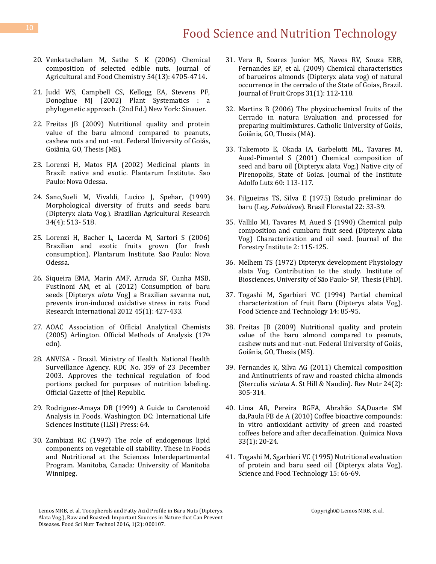# Food Science and Nutrition Technology

- 20. [Venkatachalam M, Sathe S K \(2006\) Chemical](http://pubs.acs.org/doi/abs/10.1021/jf0606959)  [composition of selected edible nuts. Journal of](http://pubs.acs.org/doi/abs/10.1021/jf0606959)  [Agricultural and Food Chemistry](http://pubs.acs.org/doi/abs/10.1021/jf0606959) 54(13): 4705-4714.
- 21. [Judd WS, Campbell CS, Kellogg EA, Stevens PF,](http://www.sinauer.com/plant-systematics-a-phylogenetic-approach.html)  [Donoghue MJ \(2002\) Plant Systematics : a](http://www.sinauer.com/plant-systematics-a-phylogenetic-approach.html)  [phylogenetic approach. \(2nd Ed.\) New York: Sinauer.](http://www.sinauer.com/plant-systematics-a-phylogenetic-approach.html)
- 22. Freitas JB (2009) Nutritional quality and protein value of the baru almond compared to peanuts, cashew nuts and nut -nut. Federal University of Goiás, Goiânia, GO, Thesis (MS).
- 23. Lorenzi H, Matos FJA (2002) Medicinal plants in Brazil: native and exotic. Plantarum Institute. Sao Paulo: Nova Odessa.
- 24. [Sano,Sueli M, Vivaldi, Lucico J, Spehar, \(1999\)](http://www.scielo.br/scielo.php?pid=S0100-204X1999000400001&script=sci_abstract)  [Morphological diversity of fruits and seeds baru](http://www.scielo.br/scielo.php?pid=S0100-204X1999000400001&script=sci_abstract)  [\(Dipteryx alata Vog.\). Brazilian Agricultural Research](http://www.scielo.br/scielo.php?pid=S0100-204X1999000400001&script=sci_abstract)  [34\(4\): 513-](http://www.scielo.br/scielo.php?pid=S0100-204X1999000400001&script=sci_abstract) 518.
- 25. Lorenzi H, Bacher L, Lacerda M, Sartori S (2006) Brazilian and exotic fruits grown (for fresh consumption). Plantarum Institute. Sao Paulo: Nova Odessa.
- 26. [Siqueira EMA, Marin AMF, Arruda SF, Cunha MSB,](http://www.sciencedirect.com/science/article/pii/S0963996911006272)  [Fustinoni AM, et al. \(2012\) Consumption of baru](http://www.sciencedirect.com/science/article/pii/S0963996911006272)  seeds [Dipteryx *alata* Vog] [a Brazilian savanna nut,](http://www.sciencedirect.com/science/article/pii/S0963996911006272)  [prevents iron-induced oxidative stress in rats. Food](http://www.sciencedirect.com/science/article/pii/S0963996911006272)  [Research International 2012](http://www.sciencedirect.com/science/article/pii/S0963996911006272) 45(1): 427-433.
- 27. AOAC Association of Official Analytical Chemists (2005) Arlington. Official Methods of Analysis (17th edn).
- 28. ANVISA Brazil. Ministry of Health. National Health Surveillance Agency. RDC No. 359 of 23 December 2003. Approves the technical regulation of food portions packed for purposes of nutrition labeling. Official Gazette of [the] Republic.
- 29. [Rodriguez-Amaya DB \(1999\) A Guide to Carotenoid](http://beauty-review.nl/wp-content/uploads/2014/11/A-guide-to-carotenoid-analysis-in-foods.pdf)  [Analysis in Foods. Washington DC: International Life](http://beauty-review.nl/wp-content/uploads/2014/11/A-guide-to-carotenoid-analysis-in-foods.pdf)  [Sciences Institute \(ILSI\) Press: 64.](http://beauty-review.nl/wp-content/uploads/2014/11/A-guide-to-carotenoid-analysis-in-foods.pdf)
- 30. Zambiazi RC (1997) The [role of endogenous lipid](http://mspace.lib.umanitoba.ca/handle/1993/931)  [components on vegetable oil stability. These in Foods](http://mspace.lib.umanitoba.ca/handle/1993/931)  [and Nutritional at the Sciences Interdepartmental](http://mspace.lib.umanitoba.ca/handle/1993/931)  [Program. Manitoba, Canada: University of Manitoba](http://mspace.lib.umanitoba.ca/handle/1993/931)  [Winnipeg.](http://mspace.lib.umanitoba.ca/handle/1993/931)
- 31. [Vera R, Soares Junior MS, Naves](http://www.scielo.br/scielo.php?script=sci_arttext&pid=S0100-29452009000100017) RV, Souza ERB, [Fernandes EP, et al. \(2009\) Chemical characteristics](http://www.scielo.br/scielo.php?script=sci_arttext&pid=S0100-29452009000100017)  [of barueiros almonds \(Dipteryx alata vog\) of natural](http://www.scielo.br/scielo.php?script=sci_arttext&pid=S0100-29452009000100017)  [occurrence in the cerrado of the State of Goias, Brazil.](http://www.scielo.br/scielo.php?script=sci_arttext&pid=S0100-29452009000100017)  [Journal of Fruit Crops 31\(1\): 112-118.](http://www.scielo.br/scielo.php?script=sci_arttext&pid=S0100-29452009000100017)
- 32. Martins B (2006) The physicochemical fruits of the Cerrado in natura Evaluation and processed for preparing multimixtures. Catholic University of Goiás, Goiânia, GO, Thesis (MA).
- 33. Takemoto E, Okada IA, Garbelotti ML, Tavares M, Aued-Pimentel S (2001) Chemical composition of seed and baru oil (Dipteryx alata Vog.) Native city of Pirenopolis, State of Goias. Journal of the Institute Adolfo Lutz 60: 113-117.
- 34. [Filgueiras TS, Silva E \(1975\) Estudo preliminar do](http://agris.fao.org/agris-search/search.do?recordID=US201303059853)  baru (Leg. *Faboideae*[\). Brasil Florestal](http://agris.fao.org/agris-search/search.do?recordID=US201303059853) 22: 33-39.
- 35. Vallilo MI, Tavares M, Aued S (1990) Chemical pulp composition and cumbaru fruit seed (Dipteryx alata Vog) Characterization and oil seed. Journal of the Forestry Institute 2: 115-125.
- 36. Melhem TS (1972) Dipteryx development Physiology alata Vog. Contribution to the study. Institute of Biosciences, University of São Paulo- SP, Thesis (PhD).
- 37. Togashi M, Sgarbieri VC (1994) Partial chemical characterization of fruit Baru (Dipteryx alata Vog). Food Science and Technology 14: 85-95.
- 38. Freitas JB (2009) Nutritional quality and protein value of the baru almond compared to peanuts, cashew nuts and nut -nut. Federal University of Goiás, Goiânia, GO, Thesis (MS).
- 39. [Fernandes K, Silva AG \(2011\) Chemical composition](http://www.scielo.br/scielo.php?script=sci_arttext&pid=S1415-52732011000200011)  [and Antinutrients of raw and roasted chicha almonds](http://www.scielo.br/scielo.php?script=sci_arttext&pid=S1415-52732011000200011)  (Sterculia *striata* [A. St Hill & Naudin\).](http://www.scielo.br/scielo.php?script=sci_arttext&pid=S1415-52732011000200011) Rev Nutr 24(2): [305-314.](http://www.scielo.br/scielo.php?script=sci_arttext&pid=S1415-52732011000200011)
- 40. [Lima AR, Pereira RGFA, Abrahão SA,Duarte SM](http://www.scielo.br/scielo.php?script=sci_arttext&pid=S0100-40422010000100004)  [da,Paula FB de A \(2010\) Coffee bioactive compounds:](http://www.scielo.br/scielo.php?script=sci_arttext&pid=S0100-40422010000100004)  [in vitro antioxidant activity of green and roasted](http://www.scielo.br/scielo.php?script=sci_arttext&pid=S0100-40422010000100004)  [coffees before and after decaffeination. Química Nova](http://www.scielo.br/scielo.php?script=sci_arttext&pid=S0100-40422010000100004)  [33\(1\): 20-24.](http://www.scielo.br/scielo.php?script=sci_arttext&pid=S0100-40422010000100004)
- 41. Togashi M, Sgarbieri VC (1995) Nutritional evaluation of protein and baru seed oil (Dipteryx alata Vog). Science and Food Technology 15: 66-69.

Lemos MRB, et al. Tocopherols and Fatty Acid Profile in Baru Nuts (Dipteryx Alata Vog.), Raw and Roasted: Important Sources in Nature that Can Prevent Diseases. Food Sci Nutr Technol 2016, 1(2): 000107.